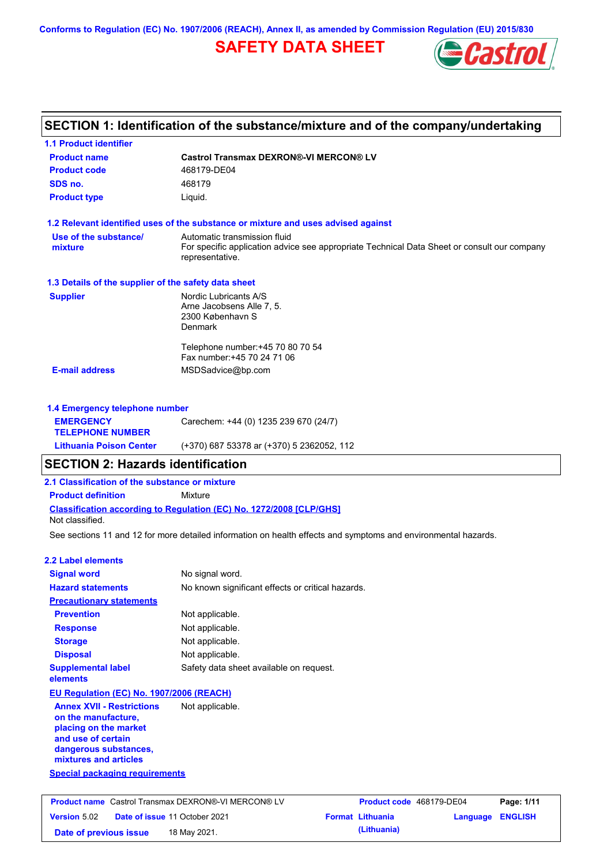**Conforms to Regulation (EC) No. 1907/2006 (REACH), Annex II, as amended by Commission Regulation (EU) 2015/830**

## **SAFETY DATA SHEET**



## **SECTION 1: Identification of the substance/mixture and of the company/undertaking**

| 1.1 Product identifier                                                                                                                                   |                                                                                                                                                |                          |                  |
|----------------------------------------------------------------------------------------------------------------------------------------------------------|------------------------------------------------------------------------------------------------------------------------------------------------|--------------------------|------------------|
| <b>Product name</b>                                                                                                                                      | <b>Castrol Transmax DEXRON®-VI MERCON® LV</b>                                                                                                  |                          |                  |
| <b>Product code</b>                                                                                                                                      | 468179-DE04                                                                                                                                    |                          |                  |
| SDS no.                                                                                                                                                  | 468179                                                                                                                                         |                          |                  |
| <b>Product type</b>                                                                                                                                      | Liquid.                                                                                                                                        |                          |                  |
|                                                                                                                                                          | 1.2 Relevant identified uses of the substance or mixture and uses advised against                                                              |                          |                  |
| Use of the substance/<br>mixture                                                                                                                         | Automatic transmission fluid<br>For specific application advice see appropriate Technical Data Sheet or consult our company<br>representative. |                          |                  |
| 1.3 Details of the supplier of the safety data sheet                                                                                                     |                                                                                                                                                |                          |                  |
| <b>Supplier</b>                                                                                                                                          | Nordic Lubricants A/S<br>Arne Jacobsens Alle 7, 5.<br>2300 København S<br>Denmark                                                              |                          |                  |
| <b>E-mail address</b>                                                                                                                                    | Telephone number: +45 70 80 70 54<br>Fax number: +45 70 24 71 06<br>MSDSadvice@bp.com                                                          |                          |                  |
|                                                                                                                                                          |                                                                                                                                                |                          |                  |
| 1.4 Emergency telephone number<br><b>EMERGENCY</b><br><b>TELEPHONE NUMBER</b>                                                                            | Carechem: +44 (0) 1235 239 670 (24/7)                                                                                                          |                          |                  |
| <b>Lithuania Poison Center</b>                                                                                                                           | (+370) 687 53378 ar (+370) 5 2362052, 112                                                                                                      |                          |                  |
| <b>SECTION 2: Hazards identification</b>                                                                                                                 |                                                                                                                                                |                          |                  |
| 2.1 Classification of the substance or mixture                                                                                                           |                                                                                                                                                |                          |                  |
| <b>Product definition</b>                                                                                                                                | Mixture                                                                                                                                        |                          |                  |
| Not classified.                                                                                                                                          | Classification according to Regulation (EC) No. 1272/2008 [CLP/GHS]                                                                            |                          |                  |
|                                                                                                                                                          | See sections 11 and 12 for more detailed information on health effects and symptoms and environmental hazards.                                 |                          |                  |
| <b>2.2 Label elements</b>                                                                                                                                |                                                                                                                                                |                          |                  |
| <b>Signal word</b>                                                                                                                                       | No signal word.                                                                                                                                |                          |                  |
| <b>Hazard statements</b>                                                                                                                                 | No known significant effects or critical hazards.                                                                                              |                          |                  |
| <b>Precautionary statements</b>                                                                                                                          |                                                                                                                                                |                          |                  |
| <b>Prevention</b>                                                                                                                                        | Not applicable.                                                                                                                                |                          |                  |
| <b>Response</b>                                                                                                                                          | Not applicable.                                                                                                                                |                          |                  |
| <b>Storage</b>                                                                                                                                           | Not applicable.                                                                                                                                |                          |                  |
| <b>Disposal</b>                                                                                                                                          | Not applicable.                                                                                                                                |                          |                  |
| <b>Supplemental label</b><br>elements                                                                                                                    | Safety data sheet available on request.                                                                                                        |                          |                  |
| EU Regulation (EC) No. 1907/2006 (REACH)                                                                                                                 |                                                                                                                                                |                          |                  |
| <b>Annex XVII - Restrictions</b><br>on the manufacture.<br>placing on the market<br>and use of certain<br>dangerous substances,<br>mixtures and articles | Not applicable.                                                                                                                                |                          |                  |
| <b>Special packaging requirements</b>                                                                                                                    |                                                                                                                                                |                          |                  |
|                                                                                                                                                          | Product name Castrol Transmax DEXRON®-VI MERCON® LV                                                                                            | Product code 468179-DE04 | Page: 1/11       |
| Version 5.02                                                                                                                                             | Date of issue 11 October 2021                                                                                                                  | <b>Format Lithuania</b>  | Language ENGLISH |
|                                                                                                                                                          |                                                                                                                                                |                          |                  |

**Date of previous issue (Lithuania)** 18 May 2021.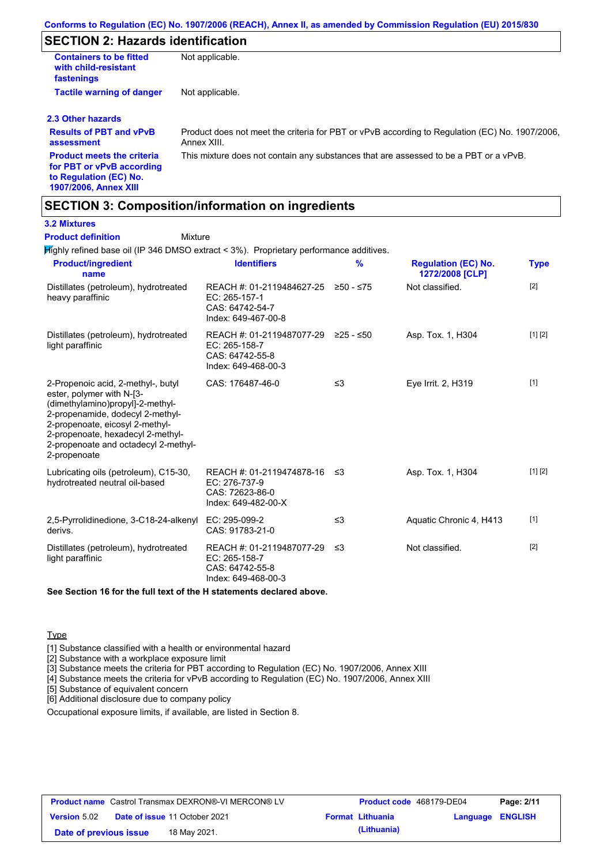## **SECTION 2: Hazards identification**

| <b>Containers to be fitted</b><br>with child-resistant<br>fastenings | Not applicable.                                                                                               |
|----------------------------------------------------------------------|---------------------------------------------------------------------------------------------------------------|
| <b>Tactile warning of danger</b>                                     | Not applicable.                                                                                               |
| 2.3 Other hazards                                                    |                                                                                                               |
| <b>Results of PBT and vPvB</b><br>assessment                         | Product does not meet the criteria for PBT or vPvB according to Regulation (EC) No. 1907/2006,<br>Annex XIII. |
| <b>Product meets the criteria</b><br>for PBT or vPvB according       | This mixture does not contain any substances that are assessed to be a PBT or a vPvB.                         |

### **SECTION 3: Composition/information on ingredients**

**Mixture** 

#### **3.2 Mixtures**

#### **Product definition**

**to Regulation (EC) No. 1907/2006, Annex XIII**

Highly refined base oil (IP 346 DMSO extract < 3%). Proprietary performance additives.

| <b>Product/ingredient</b><br>name                                                                                                                                                                                                                                       | <b>Identifiers</b>                                                                      | $\frac{9}{6}$ | <b>Regulation (EC) No.</b><br>1272/2008 [CLP] | <b>Type</b> |
|-------------------------------------------------------------------------------------------------------------------------------------------------------------------------------------------------------------------------------------------------------------------------|-----------------------------------------------------------------------------------------|---------------|-----------------------------------------------|-------------|
| Distillates (petroleum), hydrotreated<br>heavy paraffinic                                                                                                                                                                                                               | REACH #: 01-2119484627-25<br>EC: 265-157-1<br>CAS: 64742-54-7<br>Index: 649-467-00-8    | ≥50 - ≤75     | Not classified.                               | $[2]$       |
| Distillates (petroleum), hydrotreated<br>light paraffinic                                                                                                                                                                                                               | REACH #: 01-2119487077-29<br>EC: 265-158-7<br>CAS: 64742-55-8<br>Index: 649-468-00-3    | ≥25 - ≤50     | Asp. Tox. 1, H304                             | [1] [2]     |
| 2-Propenoic acid, 2-methyl-, butyl<br>ester, polymer with N-[3-<br>(dimethylamino)propyl]-2-methyl-<br>2-propenamide, dodecyl 2-methyl-<br>2-propenoate, eicosyl 2-methyl-<br>2-propenoate, hexadecyl 2-methyl-<br>2-propenoate and octadecyl 2-methyl-<br>2-propenoate | CAS: 176487-46-0                                                                        | ≤3            | Eye Irrit. 2, H319                            | $[1]$       |
| Lubricating oils (petroleum), C15-30,<br>hydrotreated neutral oil-based                                                                                                                                                                                                 | REACH #: 01-2119474878-16 ≤3<br>EC: 276-737-9<br>CAS: 72623-86-0<br>Index: 649-482-00-X |               | Asp. Tox. 1, H304                             | [1] [2]     |
| 2,5-Pyrrolidinedione, 3-C18-24-alkenyl<br>derivs.                                                                                                                                                                                                                       | EC: 295-099-2<br>CAS: 91783-21-0                                                        | ≤3            | Aquatic Chronic 4, H413                       | $[1]$       |
| Distillates (petroleum), hydrotreated<br>light paraffinic                                                                                                                                                                                                               | REACH #: 01-2119487077-29<br>EC: 265-158-7<br>CAS: 64742-55-8<br>Index: 649-468-00-3    | ו≥ ≤          | Not classified.                               | $[2]$       |

**See Section 16 for the full text of the H statements declared above.**

#### **Type**

[1] Substance classified with a health or environmental hazard

[2] Substance with a workplace exposure limit

[3] Substance meets the criteria for PBT according to Regulation (EC) No. 1907/2006, Annex XIII

[4] Substance meets the criteria for vPvB according to Regulation (EC) No. 1907/2006, Annex XIII

[5] Substance of equivalent concern

[6] Additional disclosure due to company policy

Occupational exposure limits, if available, are listed in Section 8.

| <b>Product name</b> Castrol Transmax DEXRON®-VI MERCON® LV |  |                                      | <b>Product code</b> 468179-DE04 |                         | Page: 2/11       |  |
|------------------------------------------------------------|--|--------------------------------------|---------------------------------|-------------------------|------------------|--|
| <b>Version 5.02</b>                                        |  | <b>Date of issue 11 October 2021</b> |                                 | <b>Format Lithuania</b> | Language ENGLISH |  |
| Date of previous issue                                     |  | 18 May 2021.                         |                                 | (Lithuania)             |                  |  |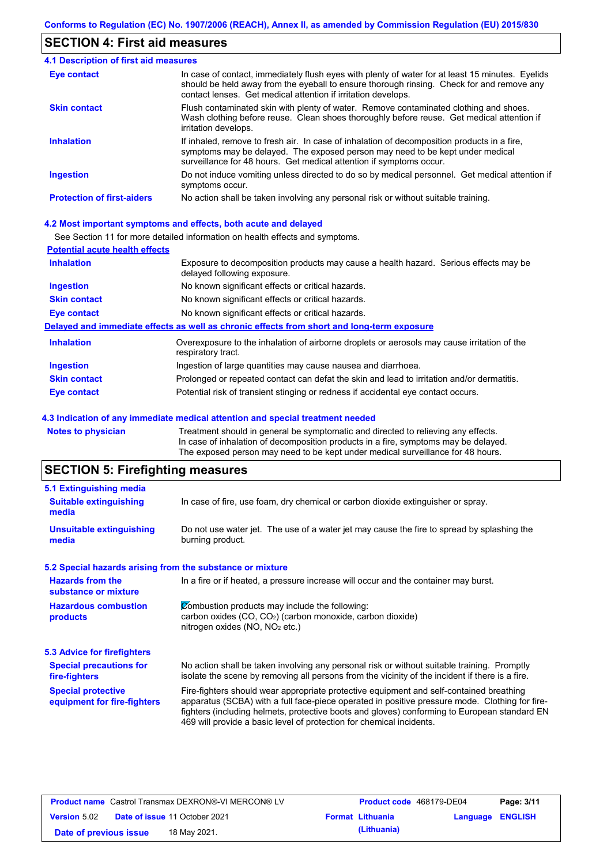### **SECTION 4: First aid measures**

| 4.1 Description of first aid measures |                                                                                                                                                                                                                                                                |  |  |  |
|---------------------------------------|----------------------------------------------------------------------------------------------------------------------------------------------------------------------------------------------------------------------------------------------------------------|--|--|--|
| Eye contact                           | In case of contact, immediately flush eyes with plenty of water for at least 15 minutes. Eyelids<br>should be held away from the eyeball to ensure thorough rinsing. Check for and remove any<br>contact lenses. Get medical attention if irritation develops. |  |  |  |
| <b>Skin contact</b>                   | Flush contaminated skin with plenty of water. Remove contaminated clothing and shoes.<br>Wash clothing before reuse. Clean shoes thoroughly before reuse. Get medical attention if<br>irritation develops.                                                     |  |  |  |
| <b>Inhalation</b>                     | If inhaled, remove to fresh air. In case of inhalation of decomposition products in a fire,<br>symptoms may be delayed. The exposed person may need to be kept under medical<br>surveillance for 48 hours. Get medical attention if symptoms occur.            |  |  |  |
| <b>Ingestion</b>                      | Do not induce vomiting unless directed to do so by medical personnel. Get medical attention if<br>symptoms occur.                                                                                                                                              |  |  |  |
| <b>Protection of first-aiders</b>     | No action shall be taken involving any personal risk or without suitable training.                                                                                                                                                                             |  |  |  |

#### **4.2 Most important symptoms and effects, both acute and delayed**

See Section 11 for more detailed information on health effects and symptoms.

| <b>Potential acute health effects</b> |                                                                                                                     |
|---------------------------------------|---------------------------------------------------------------------------------------------------------------------|
| <b>Inhalation</b>                     | Exposure to decomposition products may cause a health hazard. Serious effects may be<br>delayed following exposure. |
| <b>Ingestion</b>                      | No known significant effects or critical hazards.                                                                   |
| <b>Skin contact</b>                   | No known significant effects or critical hazards.                                                                   |
| Eye contact                           | No known significant effects or critical hazards.                                                                   |
|                                       | Delayed and immediate effects as well as chronic effects from short and long-term exposure                          |
| <b>Inhalation</b>                     | Overexposure to the inhalation of airborne droplets or aerosols may cause irritation of the<br>respiratory tract.   |
| <b>Ingestion</b>                      | Ingestion of large quantities may cause nausea and diarrhoea.                                                       |
| <b>Skin contact</b>                   | Prolonged or repeated contact can defat the skin and lead to irritation and/or dermatitis.                          |
| Eye contact                           | Potential risk of transient stinging or redness if accidental eye contact occurs.                                   |
|                                       |                                                                                                                     |

#### **4.3 Indication of any immediate medical attention and special treatment needed**

**Notes to physician** Treatment should in general be symptomatic and directed to relieving any effects. In case of inhalation of decomposition products in a fire, symptoms may be delayed. The exposed person may need to be kept under medical surveillance for 48 hours.

## **SECTION 5: Firefighting measures**

| 5.1 Extinguishing media                                   |                                                                                                                                                                                                                                                                                                                                                                   |  |
|-----------------------------------------------------------|-------------------------------------------------------------------------------------------------------------------------------------------------------------------------------------------------------------------------------------------------------------------------------------------------------------------------------------------------------------------|--|
| <b>Suitable extinguishing</b><br>media                    | In case of fire, use foam, dry chemical or carbon dioxide extinguisher or spray.                                                                                                                                                                                                                                                                                  |  |
| <b>Unsuitable extinguishing</b><br>media                  | Do not use water jet. The use of a water jet may cause the fire to spread by splashing the<br>burning product.                                                                                                                                                                                                                                                    |  |
| 5.2 Special hazards arising from the substance or mixture |                                                                                                                                                                                                                                                                                                                                                                   |  |
| <b>Hazards from the</b><br>substance or mixture           | In a fire or if heated, a pressure increase will occur and the container may burst.                                                                                                                                                                                                                                                                               |  |
| <b>Hazardous combustion</b><br>products                   | Combustion products may include the following:<br>carbon oxides $(CO, CO2)$ (carbon monoxide, carbon dioxide)<br>nitrogen oxides ( $NO$ , $NO2$ etc.)                                                                                                                                                                                                             |  |
| 5.3 Advice for firefighters                               |                                                                                                                                                                                                                                                                                                                                                                   |  |
| <b>Special precautions for</b><br>fire-fighters           | No action shall be taken involving any personal risk or without suitable training. Promptly<br>isolate the scene by removing all persons from the vicinity of the incident if there is a fire.                                                                                                                                                                    |  |
| <b>Special protective</b><br>equipment for fire-fighters  | Fire-fighters should wear appropriate protective equipment and self-contained breathing<br>apparatus (SCBA) with a full face-piece operated in positive pressure mode. Clothing for fire-<br>fighters (including helmets, protective boots and gloves) conforming to European standard EN<br>469 will provide a basic level of protection for chemical incidents. |  |

| <b>Product name</b> Castrol Transmax DEXRON®-VI MERCON® LV |  |                                      | Product code 468179-DE04 |                         | Page: 3/11              |  |
|------------------------------------------------------------|--|--------------------------------------|--------------------------|-------------------------|-------------------------|--|
| <b>Version 5.02</b>                                        |  | <b>Date of issue 11 October 2021</b> |                          | <b>Format Lithuania</b> | <b>Language ENGLISH</b> |  |
| Date of previous issue                                     |  | 18 May 2021.                         |                          | (Lithuania)             |                         |  |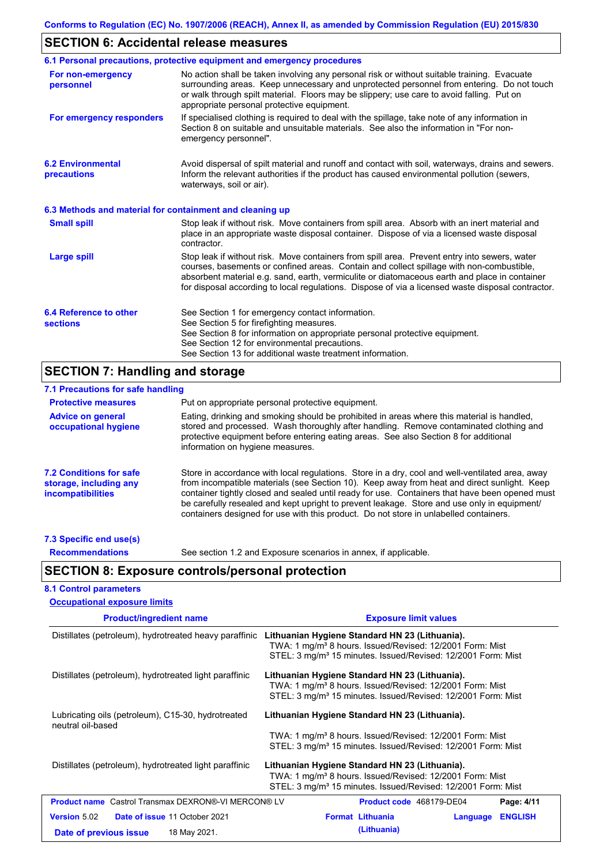## **SECTION 6: Accidental release measures**

|                                                          | 6.1 Personal precautions, protective equipment and emergency procedures                                                                                                                                                                                                                                                                                                                        |
|----------------------------------------------------------|------------------------------------------------------------------------------------------------------------------------------------------------------------------------------------------------------------------------------------------------------------------------------------------------------------------------------------------------------------------------------------------------|
| For non-emergency<br>personnel                           | No action shall be taken involving any personal risk or without suitable training. Evacuate<br>surrounding areas. Keep unnecessary and unprotected personnel from entering. Do not touch<br>or walk through spilt material. Floors may be slippery; use care to avoid falling. Put on<br>appropriate personal protective equipment.                                                            |
| For emergency responders                                 | If specialised clothing is required to deal with the spillage, take note of any information in<br>Section 8 on suitable and unsuitable materials. See also the information in "For non-<br>emergency personnel".                                                                                                                                                                               |
| <b>6.2 Environmental</b><br>precautions                  | Avoid dispersal of spilt material and runoff and contact with soil, waterways, drains and sewers.<br>Inform the relevant authorities if the product has caused environmental pollution (sewers,<br>waterways, soil or air).                                                                                                                                                                    |
| 6.3 Methods and material for containment and cleaning up |                                                                                                                                                                                                                                                                                                                                                                                                |
| <b>Small spill</b>                                       | Stop leak if without risk. Move containers from spill area. Absorb with an inert material and<br>place in an appropriate waste disposal container. Dispose of via a licensed waste disposal<br>contractor.                                                                                                                                                                                     |
| <b>Large spill</b>                                       | Stop leak if without risk. Move containers from spill area. Prevent entry into sewers, water<br>courses, basements or confined areas. Contain and collect spillage with non-combustible,<br>absorbent material e.g. sand, earth, vermiculite or diatomaceous earth and place in container<br>for disposal according to local regulations. Dispose of via a licensed waste disposal contractor. |
| 6.4 Reference to other<br><b>sections</b>                | See Section 1 for emergency contact information.<br>See Section 5 for firefighting measures.<br>See Section 8 for information on appropriate personal protective equipment.<br>See Section 12 for environmental precautions.<br>See Section 13 for additional waste treatment information.                                                                                                     |

## **SECTION 7: Handling and storage**

| 7.1 Precautions for safe handling                                                    |                                                                                                                                                                                                                                                                                                                                                                                                                                                                                          |
|--------------------------------------------------------------------------------------|------------------------------------------------------------------------------------------------------------------------------------------------------------------------------------------------------------------------------------------------------------------------------------------------------------------------------------------------------------------------------------------------------------------------------------------------------------------------------------------|
| <b>Protective measures</b>                                                           | Put on appropriate personal protective equipment.                                                                                                                                                                                                                                                                                                                                                                                                                                        |
| <b>Advice on general</b><br>occupational hygiene                                     | Eating, drinking and smoking should be prohibited in areas where this material is handled.<br>stored and processed. Wash thoroughly after handling. Remove contaminated clothing and<br>protective equipment before entering eating areas. See also Section 8 for additional<br>information on hygiene measures.                                                                                                                                                                         |
| <b>7.2 Conditions for safe</b><br>storage, including any<br><i>incompatibilities</i> | Store in accordance with local regulations. Store in a dry, cool and well-ventilated area, away<br>from incompatible materials (see Section 10). Keep away from heat and direct sunlight. Keep<br>container tightly closed and sealed until ready for use. Containers that have been opened must<br>be carefully resealed and kept upright to prevent leakage. Store and use only in equipment/<br>containers designed for use with this product. Do not store in unlabelled containers. |
|                                                                                      |                                                                                                                                                                                                                                                                                                                                                                                                                                                                                          |

#### **7.3 Specific end use(s) Recommendations**

See section 1.2 and Exposure scenarios in annex, if applicable.

## **SECTION 8: Exposure controls/personal protection**

#### **8.1 Control parameters**

| <b>Occupational exposure limits</b>                                                                   |                                                                                                                                                                                                    |  |  |  |
|-------------------------------------------------------------------------------------------------------|----------------------------------------------------------------------------------------------------------------------------------------------------------------------------------------------------|--|--|--|
| <b>Product/ingredient name</b>                                                                        | <b>Exposure limit values</b>                                                                                                                                                                       |  |  |  |
| Distillates (petroleum), hydrotreated heavy paraffinic                                                | Lithuanian Hygiene Standard HN 23 (Lithuania).<br>TWA: 1 mg/m <sup>3</sup> 8 hours. Issued/Revised: 12/2001 Form: Mist<br>STEL: 3 mg/m <sup>3</sup> 15 minutes. Issued/Revised: 12/2001 Form: Mist |  |  |  |
| Distillates (petroleum), hydrotreated light paraffinic                                                | Lithuanian Hygiene Standard HN 23 (Lithuania).<br>TWA: 1 mg/m <sup>3</sup> 8 hours. Issued/Revised: 12/2001 Form: Mist<br>STEL: 3 mg/m <sup>3</sup> 15 minutes. Issued/Revised: 12/2001 Form: Mist |  |  |  |
| Lubricating oils (petroleum), C15-30, hydrotreated<br>neutral oil-based                               | Lithuanian Hygiene Standard HN 23 (Lithuania).<br>TWA: 1 mg/m <sup>3</sup> 8 hours. Issued/Revised: 12/2001 Form: Mist<br>STEL: 3 mg/m <sup>3</sup> 15 minutes. Issued/Revised: 12/2001 Form: Mist |  |  |  |
| Distillates (petroleum), hydrotreated light paraffinic                                                | Lithuanian Hygiene Standard HN 23 (Lithuania).<br>TWA: 1 mg/m <sup>3</sup> 8 hours. Issued/Revised: 12/2001 Form: Mist<br>STEL: 3 mg/m <sup>3</sup> 15 minutes. Issued/Revised: 12/2001 Form: Mist |  |  |  |
| <b>Product name</b> Castrol Transmax DEXRON®-VI MERCON® LV                                            | Product code 468179-DE04<br>Page: 4/11                                                                                                                                                             |  |  |  |
| <b>Version 5.02</b><br><b>Date of issue 11 October 2021</b><br>18 May 2021.<br>Date of previous issue | <b>Format Lithuania</b><br><b>ENGLISH</b><br>Language<br>(Lithuania)                                                                                                                               |  |  |  |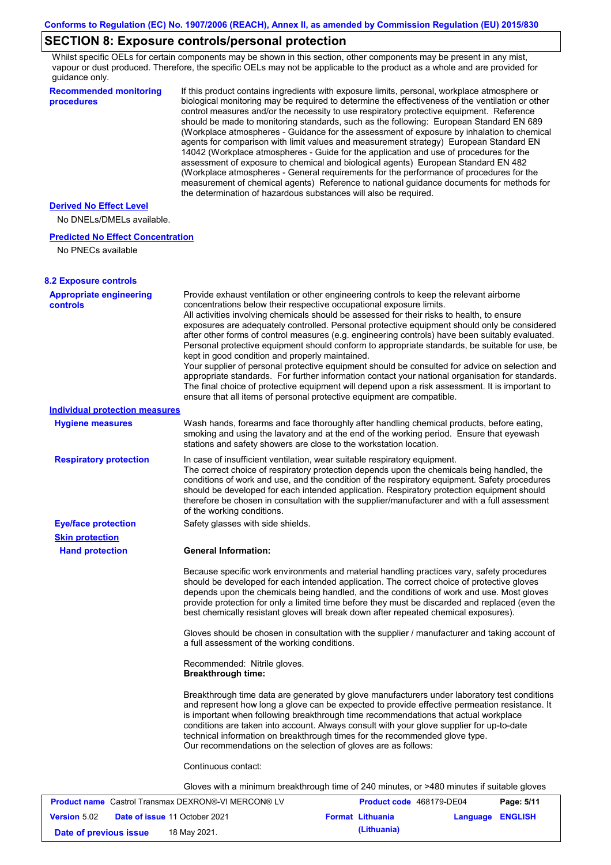## **SECTION 8: Exposure controls/personal protection**

Whilst specific OELs for certain components may be shown in this section, other components may be present in any mist, vapour or dust produced. Therefore, the specific OELs may not be applicable to the product as a whole and are provided for guidance only.

| <b>Recommended monitoring</b><br>procedures                | If this product contains ingredients with exposure limits, personal, workplace atmosphere or<br>biological monitoring may be required to determine the effectiveness of the ventilation or other<br>control measures and/or the necessity to use respiratory protective equipment. Reference<br>should be made to monitoring standards, such as the following: European Standard EN 689<br>(Workplace atmospheres - Guidance for the assessment of exposure by inhalation to chemical<br>agents for comparison with limit values and measurement strategy) European Standard EN<br>14042 (Workplace atmospheres - Guide for the application and use of procedures for the<br>assessment of exposure to chemical and biological agents) European Standard EN 482<br>(Workplace atmospheres - General requirements for the performance of procedures for the<br>measurement of chemical agents) Reference to national guidance documents for methods for<br>the determination of hazardous substances will also be required. |                          |                  |            |
|------------------------------------------------------------|----------------------------------------------------------------------------------------------------------------------------------------------------------------------------------------------------------------------------------------------------------------------------------------------------------------------------------------------------------------------------------------------------------------------------------------------------------------------------------------------------------------------------------------------------------------------------------------------------------------------------------------------------------------------------------------------------------------------------------------------------------------------------------------------------------------------------------------------------------------------------------------------------------------------------------------------------------------------------------------------------------------------------|--------------------------|------------------|------------|
| <b>Derived No Effect Level</b>                             |                                                                                                                                                                                                                                                                                                                                                                                                                                                                                                                                                                                                                                                                                                                                                                                                                                                                                                                                                                                                                            |                          |                  |            |
| No DNELs/DMELs available.                                  |                                                                                                                                                                                                                                                                                                                                                                                                                                                                                                                                                                                                                                                                                                                                                                                                                                                                                                                                                                                                                            |                          |                  |            |
| <b>Predicted No Effect Concentration</b>                   |                                                                                                                                                                                                                                                                                                                                                                                                                                                                                                                                                                                                                                                                                                                                                                                                                                                                                                                                                                                                                            |                          |                  |            |
| No PNECs available                                         |                                                                                                                                                                                                                                                                                                                                                                                                                                                                                                                                                                                                                                                                                                                                                                                                                                                                                                                                                                                                                            |                          |                  |            |
| <b>8.2 Exposure controls</b>                               |                                                                                                                                                                                                                                                                                                                                                                                                                                                                                                                                                                                                                                                                                                                                                                                                                                                                                                                                                                                                                            |                          |                  |            |
| <b>Appropriate engineering</b><br><b>controls</b>          | Provide exhaust ventilation or other engineering controls to keep the relevant airborne<br>concentrations below their respective occupational exposure limits.<br>All activities involving chemicals should be assessed for their risks to health, to ensure<br>exposures are adequately controlled. Personal protective equipment should only be considered<br>after other forms of control measures (e.g. engineering controls) have been suitably evaluated.<br>Personal protective equipment should conform to appropriate standards, be suitable for use, be<br>kept in good condition and properly maintained.<br>Your supplier of personal protective equipment should be consulted for advice on selection and<br>appropriate standards. For further information contact your national organisation for standards.<br>The final choice of protective equipment will depend upon a risk assessment. It is important to<br>ensure that all items of personal protective equipment are compatible.                    |                          |                  |            |
| <b>Individual protection measures</b>                      |                                                                                                                                                                                                                                                                                                                                                                                                                                                                                                                                                                                                                                                                                                                                                                                                                                                                                                                                                                                                                            |                          |                  |            |
| <b>Hygiene measures</b>                                    | Wash hands, forearms and face thoroughly after handling chemical products, before eating,<br>smoking and using the lavatory and at the end of the working period. Ensure that eyewash<br>stations and safety showers are close to the workstation location.                                                                                                                                                                                                                                                                                                                                                                                                                                                                                                                                                                                                                                                                                                                                                                |                          |                  |            |
| <b>Respiratory protection</b>                              | In case of insufficient ventilation, wear suitable respiratory equipment.<br>The correct choice of respiratory protection depends upon the chemicals being handled, the<br>conditions of work and use, and the condition of the respiratory equipment. Safety procedures<br>should be developed for each intended application. Respiratory protection equipment should<br>therefore be chosen in consultation with the supplier/manufacturer and with a full assessment<br>of the working conditions.                                                                                                                                                                                                                                                                                                                                                                                                                                                                                                                      |                          |                  |            |
| <b>Eye/face protection</b><br><b>Skin protection</b>       | Safety glasses with side shields.                                                                                                                                                                                                                                                                                                                                                                                                                                                                                                                                                                                                                                                                                                                                                                                                                                                                                                                                                                                          |                          |                  |            |
| <b>Hand protection</b>                                     | <b>General Information:</b>                                                                                                                                                                                                                                                                                                                                                                                                                                                                                                                                                                                                                                                                                                                                                                                                                                                                                                                                                                                                |                          |                  |            |
|                                                            | Because specific work environments and material handling practices vary, safety procedures<br>should be developed for each intended application. The correct choice of protective gloves<br>depends upon the chemicals being handled, and the conditions of work and use. Most gloves<br>provide protection for only a limited time before they must be discarded and replaced (even the<br>best chemically resistant gloves will break down after repeated chemical exposures).                                                                                                                                                                                                                                                                                                                                                                                                                                                                                                                                           |                          |                  |            |
|                                                            | Gloves should be chosen in consultation with the supplier / manufacturer and taking account of<br>a full assessment of the working conditions.                                                                                                                                                                                                                                                                                                                                                                                                                                                                                                                                                                                                                                                                                                                                                                                                                                                                             |                          |                  |            |
|                                                            | Recommended: Nitrile gloves.<br><b>Breakthrough time:</b>                                                                                                                                                                                                                                                                                                                                                                                                                                                                                                                                                                                                                                                                                                                                                                                                                                                                                                                                                                  |                          |                  |            |
|                                                            | Breakthrough time data are generated by glove manufacturers under laboratory test conditions<br>and represent how long a glove can be expected to provide effective permeation resistance. It<br>is important when following breakthrough time recommendations that actual workplace<br>conditions are taken into account. Always consult with your glove supplier for up-to-date<br>technical information on breakthrough times for the recommended glove type.<br>Our recommendations on the selection of gloves are as follows:                                                                                                                                                                                                                                                                                                                                                                                                                                                                                         |                          |                  |            |
|                                                            | Continuous contact:                                                                                                                                                                                                                                                                                                                                                                                                                                                                                                                                                                                                                                                                                                                                                                                                                                                                                                                                                                                                        |                          |                  |            |
|                                                            | Gloves with a minimum breakthrough time of 240 minutes, or >480 minutes if suitable gloves                                                                                                                                                                                                                                                                                                                                                                                                                                                                                                                                                                                                                                                                                                                                                                                                                                                                                                                                 |                          |                  |            |
| <b>Product name</b> Castrol Transmax DEXRON®-VI MERCON® LV |                                                                                                                                                                                                                                                                                                                                                                                                                                                                                                                                                                                                                                                                                                                                                                                                                                                                                                                                                                                                                            | Product code 468179-DE04 |                  | Page: 5/11 |
| <b>Version 5.02</b><br>Date of issue 11 October 2021       |                                                                                                                                                                                                                                                                                                                                                                                                                                                                                                                                                                                                                                                                                                                                                                                                                                                                                                                                                                                                                            | <b>Format Lithuania</b>  | Language ENGLISH |            |

**Date of previous issue (Lithuania)** 18 May 2021.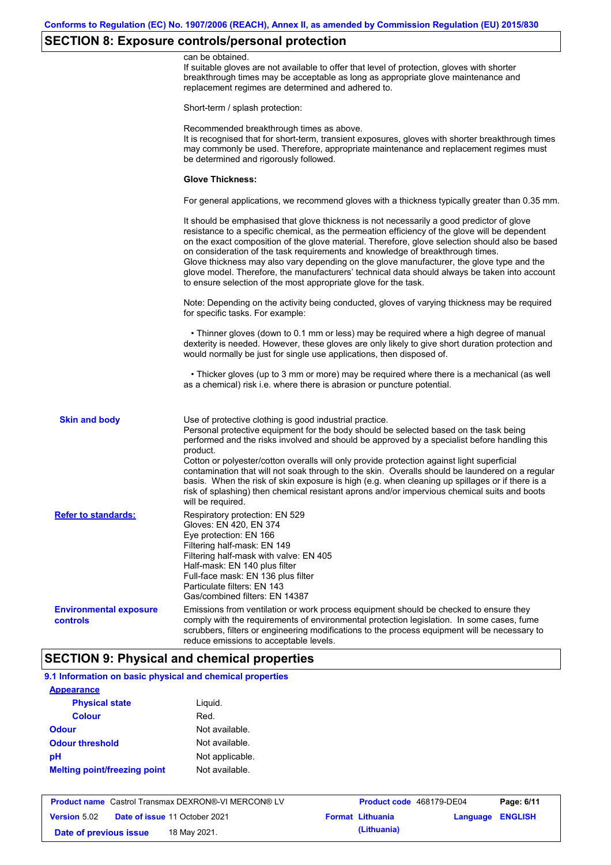# **SECTION 8: Exposure controls/personal protection**

|                                           | can be obtained.<br>If suitable gloves are not available to offer that level of protection, gloves with shorter<br>breakthrough times may be acceptable as long as appropriate glove maintenance and<br>replacement regimes are determined and adhered to.                                                                                                                                                                                                                                                                                                                                                                                                                            |
|-------------------------------------------|---------------------------------------------------------------------------------------------------------------------------------------------------------------------------------------------------------------------------------------------------------------------------------------------------------------------------------------------------------------------------------------------------------------------------------------------------------------------------------------------------------------------------------------------------------------------------------------------------------------------------------------------------------------------------------------|
|                                           | Short-term / splash protection:                                                                                                                                                                                                                                                                                                                                                                                                                                                                                                                                                                                                                                                       |
|                                           | Recommended breakthrough times as above.<br>It is recognised that for short-term, transient exposures, gloves with shorter breakthrough times<br>may commonly be used. Therefore, appropriate maintenance and replacement regimes must<br>be determined and rigorously followed.                                                                                                                                                                                                                                                                                                                                                                                                      |
|                                           | <b>Glove Thickness:</b>                                                                                                                                                                                                                                                                                                                                                                                                                                                                                                                                                                                                                                                               |
|                                           | For general applications, we recommend gloves with a thickness typically greater than 0.35 mm.                                                                                                                                                                                                                                                                                                                                                                                                                                                                                                                                                                                        |
|                                           | It should be emphasised that glove thickness is not necessarily a good predictor of glove<br>resistance to a specific chemical, as the permeation efficiency of the glove will be dependent<br>on the exact composition of the glove material. Therefore, glove selection should also be based<br>on consideration of the task requirements and knowledge of breakthrough times.<br>Glove thickness may also vary depending on the glove manufacturer, the glove type and the<br>glove model. Therefore, the manufacturers' technical data should always be taken into account<br>to ensure selection of the most appropriate glove for the task.                                     |
|                                           | Note: Depending on the activity being conducted, gloves of varying thickness may be required<br>for specific tasks. For example:                                                                                                                                                                                                                                                                                                                                                                                                                                                                                                                                                      |
|                                           | • Thinner gloves (down to 0.1 mm or less) may be required where a high degree of manual<br>dexterity is needed. However, these gloves are only likely to give short duration protection and<br>would normally be just for single use applications, then disposed of.                                                                                                                                                                                                                                                                                                                                                                                                                  |
|                                           | • Thicker gloves (up to 3 mm or more) may be required where there is a mechanical (as well<br>as a chemical) risk i.e. where there is abrasion or puncture potential.                                                                                                                                                                                                                                                                                                                                                                                                                                                                                                                 |
| <b>Skin and body</b>                      | Use of protective clothing is good industrial practice.<br>Personal protective equipment for the body should be selected based on the task being<br>performed and the risks involved and should be approved by a specialist before handling this<br>product.<br>Cotton or polyester/cotton overalls will only provide protection against light superficial<br>contamination that will not soak through to the skin. Overalls should be laundered on a regular<br>basis. When the risk of skin exposure is high (e.g. when cleaning up spillages or if there is a<br>risk of splashing) then chemical resistant aprons and/or impervious chemical suits and boots<br>will be required. |
| <b>Refer to standards:</b>                | Respiratory protection: EN 529<br>Gloves: EN 420, EN 374<br>Eye protection: EN 166<br>Filtering half-mask: EN 149<br>Filtering half-mask with valve: EN 405<br>Half-mask: EN 140 plus filter<br>Full-face mask: EN 136 plus filter<br>Particulate filters: EN 143<br>Gas/combined filters: EN 14387                                                                                                                                                                                                                                                                                                                                                                                   |
| <b>Environmental exposure</b><br>controls | Emissions from ventilation or work process equipment should be checked to ensure they<br>comply with the requirements of environmental protection legislation. In some cases, fume<br>scrubbers, filters or engineering modifications to the process equipment will be necessary to<br>reduce emissions to acceptable levels.                                                                                                                                                                                                                                                                                                                                                         |

### **SECTION 9: Physical and chemical properties**

| <b>Appearance</b>                   |                 |
|-------------------------------------|-----------------|
| <b>Physical state</b>               | Liguid.         |
| <b>Colour</b>                       | Red.            |
| <b>Odour</b>                        | Not available.  |
| <b>Odour threshold</b>              | Not available.  |
| рH                                  | Not applicable. |
| <b>Melting point/freezing point</b> | Not available.  |

|                        | <b>Product name</b> Castrol Transmax DEXRON®-VI MERCON® LV | <b>Product code</b> 468179-DE04 |                         | Page: 6/11 |
|------------------------|------------------------------------------------------------|---------------------------------|-------------------------|------------|
| <b>Version 5.02</b>    | <b>Date of issue 11 October 2021</b>                       | <b>Format Lithuania</b>         | <b>Language ENGLISH</b> |            |
| Date of previous issue | 18 May 2021.                                               | (Lithuania)                     |                         |            |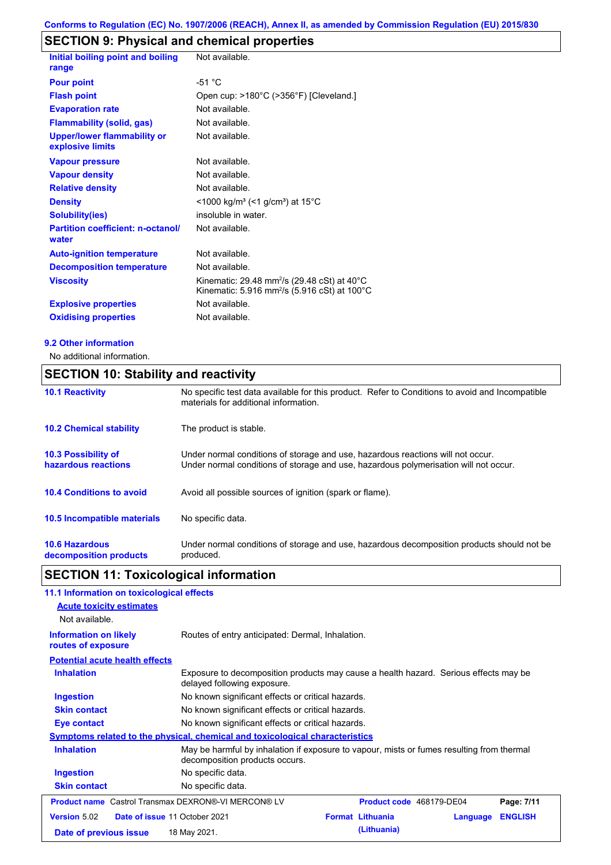# **SECTION 9: Physical and chemical properties**

| Initial boiling point and boiling                      | Not available.                                                                                                                 |
|--------------------------------------------------------|--------------------------------------------------------------------------------------------------------------------------------|
| range                                                  |                                                                                                                                |
| <b>Pour point</b>                                      | $-51 °C$                                                                                                                       |
| <b>Flash point</b>                                     | Open cup: >180°C (>356°F) [Cleveland.]                                                                                         |
| <b>Evaporation rate</b>                                | Not available.                                                                                                                 |
| <b>Flammability (solid, gas)</b>                       | Not available.                                                                                                                 |
| <b>Upper/lower flammability or</b><br>explosive limits | Not available.                                                                                                                 |
| <b>Vapour pressure</b>                                 | Not available.                                                                                                                 |
| <b>Vapour density</b>                                  | Not available.                                                                                                                 |
| <b>Relative density</b>                                | Not available.                                                                                                                 |
| <b>Density</b>                                         | $<$ 1000 kg/m <sup>3</sup> (<1 g/cm <sup>3</sup> ) at 15 <sup>°</sup> C                                                        |
| <b>Solubility(ies)</b>                                 | insoluble in water.                                                                                                            |
| <b>Partition coefficient: n-octanol/</b><br>water      | Not available.                                                                                                                 |
| <b>Auto-ignition temperature</b>                       | Not available.                                                                                                                 |
| <b>Decomposition temperature</b>                       | Not available.                                                                                                                 |
| <b>Viscosity</b>                                       | Kinematic: 29.48 mm <sup>2</sup> /s (29.48 cSt) at 40 $^{\circ}$ C<br>Kinematic: 5.916 mm <sup>2</sup> /s (5.916 cSt) at 100°C |
| <b>Explosive properties</b>                            | Not available.                                                                                                                 |
| <b>Oxidising properties</b>                            | Not available.                                                                                                                 |
|                                                        |                                                                                                                                |

#### **9.2 Other information**

No additional information.

## **SECTION 10: Stability and reactivity**

| <b>10.1 Reactivity</b>                            | No specific test data available for this product. Refer to Conditions to avoid and Incompatible<br>materials for additional information.                                |
|---------------------------------------------------|-------------------------------------------------------------------------------------------------------------------------------------------------------------------------|
| <b>10.2 Chemical stability</b>                    | The product is stable.                                                                                                                                                  |
| <b>10.3 Possibility of</b><br>hazardous reactions | Under normal conditions of storage and use, hazardous reactions will not occur.<br>Under normal conditions of storage and use, hazardous polymerisation will not occur. |
| <b>10.4 Conditions to avoid</b>                   | Avoid all possible sources of ignition (spark or flame).                                                                                                                |
| <b>10.5 Incompatible materials</b>                | No specific data.                                                                                                                                                       |
| <b>10.6 Hazardous</b><br>decomposition products   | Under normal conditions of storage and use, hazardous decomposition products should not be<br>produced.                                                                 |

## **SECTION 11: Toxicological information**

### **11.1 Information on toxicological effects**

| <b>Acute toxicity estimates</b><br>Not available.          |                                                                                                                             |                                                   |                          |                |
|------------------------------------------------------------|-----------------------------------------------------------------------------------------------------------------------------|---------------------------------------------------|--------------------------|----------------|
| <b>Information on likely</b><br>routes of exposure         | Routes of entry anticipated: Dermal, Inhalation.                                                                            |                                                   |                          |                |
| <b>Potential acute health effects</b>                      |                                                                                                                             |                                                   |                          |                |
| <b>Inhalation</b>                                          | Exposure to decomposition products may cause a health hazard. Serious effects may be<br>delayed following exposure.         |                                                   |                          |                |
| Ingestion                                                  | No known significant effects or critical hazards.                                                                           |                                                   |                          |                |
| <b>Skin contact</b>                                        |                                                                                                                             | No known significant effects or critical hazards. |                          |                |
| Eye contact                                                | No known significant effects or critical hazards.                                                                           |                                                   |                          |                |
|                                                            | Symptoms related to the physical, chemical and toxicological characteristics                                                |                                                   |                          |                |
| <b>Inhalation</b>                                          | May be harmful by inhalation if exposure to vapour, mists or fumes resulting from thermal<br>decomposition products occurs. |                                                   |                          |                |
| <b>Ingestion</b>                                           | No specific data.                                                                                                           |                                                   |                          |                |
| <b>Skin contact</b>                                        | No specific data.                                                                                                           |                                                   |                          |                |
| <b>Product name</b> Castrol Transmax DEXRON®-VI MERCON® LV |                                                                                                                             |                                                   | Product code 468179-DE04 | Page: 7/11     |
| <b>Version 5.02</b>                                        | Date of issue 11 October 2021                                                                                               | <b>Format Lithuania</b>                           | Language                 | <b>ENGLISH</b> |
| Date of previous issue                                     | 18 May 2021.                                                                                                                | (Lithuania)                                       |                          |                |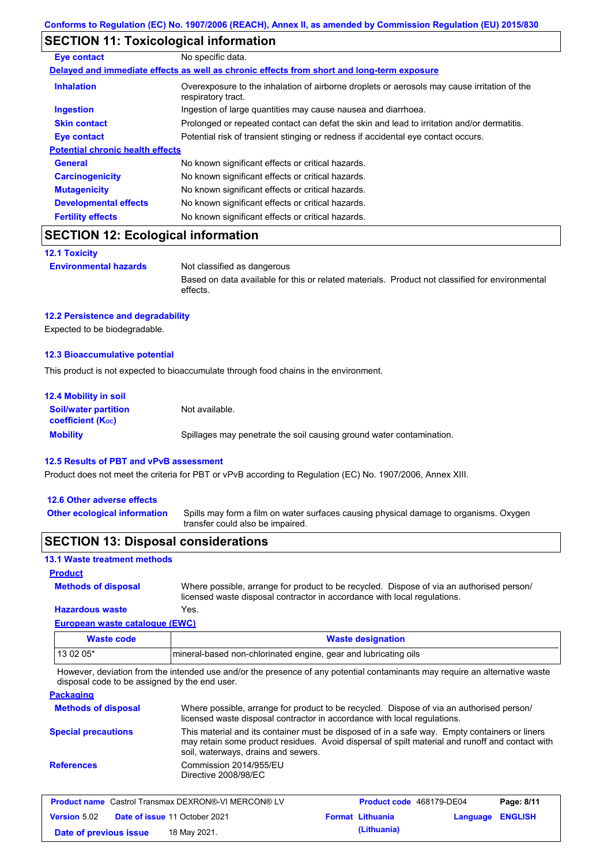### **SECTION 11: Toxicological information**

| <b>Eye contact</b>                      | No specific data.                                                                                                 |  |  |  |  |
|-----------------------------------------|-------------------------------------------------------------------------------------------------------------------|--|--|--|--|
|                                         | Delayed and immediate effects as well as chronic effects from short and long-term exposure                        |  |  |  |  |
| <b>Inhalation</b>                       | Overexposure to the inhalation of airborne droplets or aerosols may cause irritation of the<br>respiratory tract. |  |  |  |  |
| <b>Ingestion</b>                        | Ingestion of large quantities may cause nausea and diarrhoea.                                                     |  |  |  |  |
| <b>Skin contact</b>                     | Prolonged or repeated contact can defat the skin and lead to irritation and/or dermatitis.                        |  |  |  |  |
| Eye contact                             | Potential risk of transient stinging or redness if accidental eye contact occurs.                                 |  |  |  |  |
| <b>Potential chronic health effects</b> |                                                                                                                   |  |  |  |  |
| General                                 | No known significant effects or critical hazards.                                                                 |  |  |  |  |
| <b>Carcinogenicity</b>                  | No known significant effects or critical hazards.                                                                 |  |  |  |  |
| <b>Mutagenicity</b>                     | No known significant effects or critical hazards.                                                                 |  |  |  |  |
| <b>Developmental effects</b>            | No known significant effects or critical hazards.                                                                 |  |  |  |  |
| <b>Fertility effects</b>                | No known significant effects or critical hazards.                                                                 |  |  |  |  |

### **SECTION 12: Ecological information**

**12.1 Toxicity**

**Environmental hazards** Not classified as dangerous

Based on data available for this or related materials. Product not classified for environmental effects.

#### **12.2 Persistence and degradability**

Expected to be biodegradable.

#### **12.3 Bioaccumulative potential**

This product is not expected to bioaccumulate through food chains in the environment.

| <b>12.4 Mobility in soil</b>                                  |                                                                      |  |  |  |
|---------------------------------------------------------------|----------------------------------------------------------------------|--|--|--|
| <b>Soil/water partition</b><br>coefficient (K <sub>oc</sub> ) | Not available.                                                       |  |  |  |
| <b>Mobility</b>                                               | Spillages may penetrate the soil causing ground water contamination. |  |  |  |

#### **12.5 Results of PBT and vPvB assessment**

Product does not meet the criteria for PBT or vPvB according to Regulation (EC) No. 1907/2006, Annex XIII.

#### **12.6 Other adverse effects**

Spills may form a film on water surfaces causing physical damage to organisms. Oxygen transfer could also be impaired. **Other ecological information**

### **SECTION 13: Disposal considerations**

### **13.1 Waste treatment methods**

**Product**

**Methods of disposal**

**Hazardous waste** Yes. Where possible, arrange for product to be recycled. Dispose of via an authorised person/ licensed waste disposal contractor in accordance with local regulations.

### **European waste catalogue (EWC)**

| Waste code | <b>Waste designation</b>                                        |
|------------|-----------------------------------------------------------------|
| $130205*$  | mineral-based non-chlorinated engine, gear and lubricating oils |

However, deviation from the intended use and/or the presence of any potential contaminants may require an alternative waste disposal code to be assigned by the end user.

**Packaging**

| <b>Methods of disposal</b> | Where possible, arrange for product to be recycled. Dispose of via an authorised person/<br>licensed waste disposal contractor in accordance with local regulations.                                                                    |
|----------------------------|-----------------------------------------------------------------------------------------------------------------------------------------------------------------------------------------------------------------------------------------|
| <b>Special precautions</b> | This material and its container must be disposed of in a safe way. Empty containers or liners<br>may retain some product residues. Avoid dispersal of spilt material and runoff and contact with<br>soil, waterways, drains and sewers. |
| <b>References</b>          | Commission 2014/955/EU<br>Directive 2008/98/EC                                                                                                                                                                                          |

|                        | <b>Product name</b> Castrol Transmax DEXRON®-VI MERCON® LV | Product code 468179-DE04 |                  | Page: 8/11 |
|------------------------|------------------------------------------------------------|--------------------------|------------------|------------|
| <b>Version</b> 5.02    | <b>Date of issue 11 October 2021</b>                       | <b>Format Lithuania</b>  | Language ENGLISH |            |
| Date of previous issue | 18 May 2021.                                               | (Lithuania)              |                  |            |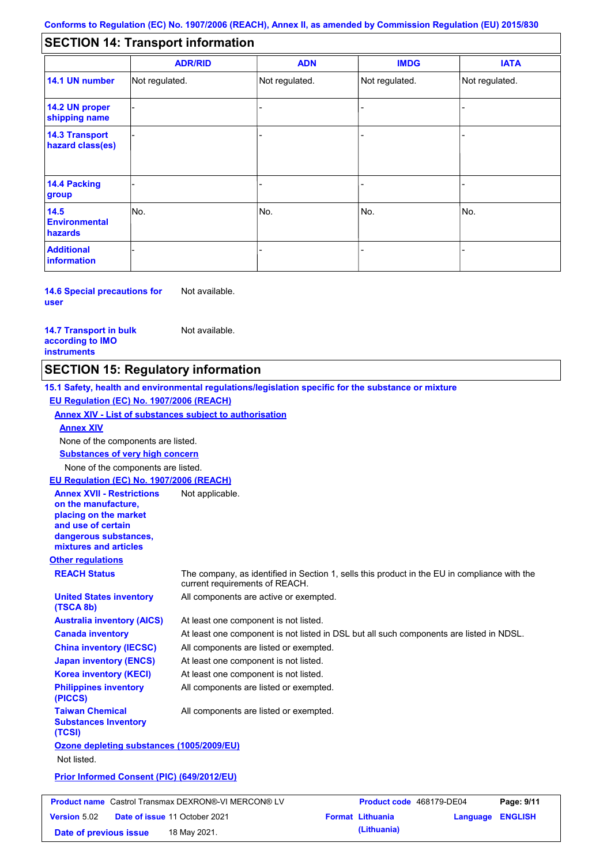#### - - - - - - - - - Not regulated. Not regulated. Not regulated. - - - **SECTION 14: Transport information ADR/RID IMDG IATA 14.1 UN number 14.2 UN proper shipping name 14.3 Transport hazard class(es) 14.4 Packing group ADN Additional information 14.5 Environmental hazards** No. 1988 | No. 1989 | No. 1989 | No. 1989 | No. 1989 | No. 1989 | No. 1989 | No. 1989 | No. 1989 | No. 1989 | Not regulated. - -<br>No. - -

**14.6 Special precautions for user** Not available.

**14.7 Transport in bulk according to IMO instruments**

**Version** 5.02

Not available.

### **SECTION 15: Regulatory information**

**Other regulations REACH Status** The company, as identified in Section 1, sells this product in the EU in compliance with the current requirements of REACH. **15.1 Safety, health and environmental regulations/legislation specific for the substance or mixture EU Regulation (EC) No. 1907/2006 (REACH) Annex XIV - List of substances subject to authorisation Substances of very high concern** None of the components are listed. At least one component is not listed. At least one component is not listed in DSL but all such components are listed in NDSL. All components are listed or exempted. At least one component is not listed. All components are active or exempted. At least one component is not listed. All components are listed or exempted. **United States inventory (TSCA 8b) Australia inventory (AICS) Canada inventory China inventory (IECSC) Japan inventory (ENCS) Korea inventory (KECI) Philippines inventory (PICCS) Taiwan Chemical Substances Inventory (TCSI)** All components are listed or exempted. **Ozone depleting substances (1005/2009/EU)** Not listed. **Prior Informed Consent (PIC) (649/2012/EU)** None of the components are listed. **Annex XIV EU Regulation (EC) No. 1907/2006 (REACH) Annex XVII - Restrictions on the manufacture, placing on the market and use of certain dangerous substances, mixtures and articles** Not applicable. **Product name** Castrol Transmax DEXRON®-VI MERCON® LV **Product code** 468179-DE04 **Page: 9/11** |

**Date of issue** 11 October 2021 **Format Lithuania Language ENGLISH Date of previous issue (Lithuania)** 18 May 2021.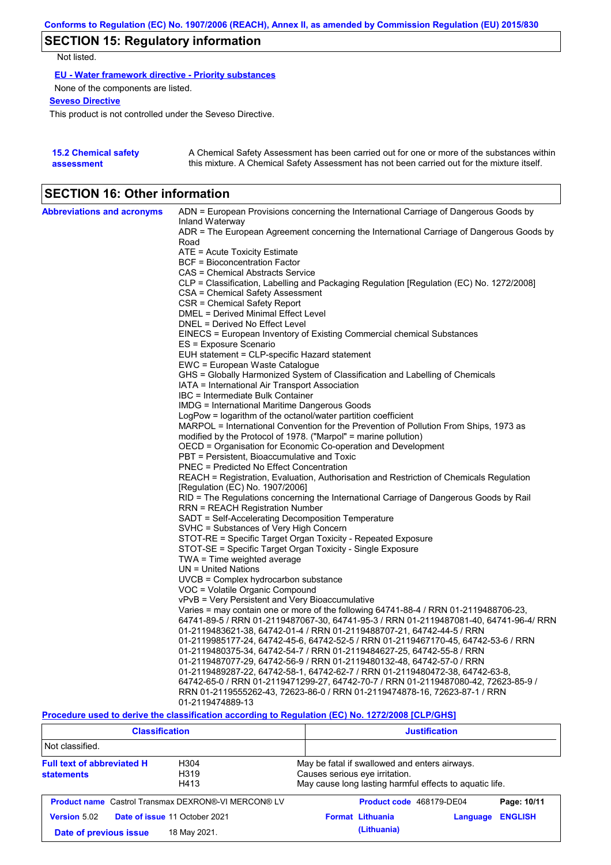# **SECTION 15: Regulatory information**

Not listed.

**EU - Water framework directive - Priority substances**

None of the components are listed.

**Seveso Directive**

This product is not controlled under the Seveso Directive.

| <b>15.2 Chemical safety</b> | A Chemical Safety Assessment has been carried out for one or more of the substances within  |
|-----------------------------|---------------------------------------------------------------------------------------------|
| assessment                  | this mixture. A Chemical Safety Assessment has not been carried out for the mixture itself. |

## **SECTION 16: Other information**

| <b>Abbreviations and acronyms</b> | ADN = European Provisions concerning the International Carriage of Dangerous Goods by                       |
|-----------------------------------|-------------------------------------------------------------------------------------------------------------|
|                                   | Inland Waterway<br>ADR = The European Agreement concerning the International Carriage of Dangerous Goods by |
|                                   | Road                                                                                                        |
|                                   | ATE = Acute Toxicity Estimate                                                                               |
|                                   | BCF = Bioconcentration Factor                                                                               |
|                                   | CAS = Chemical Abstracts Service                                                                            |
|                                   | CLP = Classification, Labelling and Packaging Regulation [Regulation (EC) No. 1272/2008]                    |
|                                   | CSA = Chemical Safety Assessment                                                                            |
|                                   | CSR = Chemical Safety Report                                                                                |
|                                   | DMEL = Derived Minimal Effect Level                                                                         |
|                                   | DNEL = Derived No Effect Level                                                                              |
|                                   | EINECS = European Inventory of Existing Commercial chemical Substances                                      |
|                                   | ES = Exposure Scenario                                                                                      |
|                                   | EUH statement = CLP-specific Hazard statement                                                               |
|                                   | EWC = European Waste Catalogue                                                                              |
|                                   | GHS = Globally Harmonized System of Classification and Labelling of Chemicals                               |
|                                   | IATA = International Air Transport Association                                                              |
|                                   | IBC = Intermediate Bulk Container                                                                           |
|                                   | IMDG = International Maritime Dangerous Goods                                                               |
|                                   | LogPow = logarithm of the octanol/water partition coefficient                                               |
|                                   | MARPOL = International Convention for the Prevention of Pollution From Ships, 1973 as                       |
|                                   | modified by the Protocol of 1978. ("Marpol" = marine pollution)                                             |
|                                   | OECD = Organisation for Economic Co-operation and Development                                               |
|                                   | PBT = Persistent, Bioaccumulative and Toxic                                                                 |
|                                   | <b>PNEC = Predicted No Effect Concentration</b>                                                             |
|                                   | REACH = Registration, Evaluation, Authorisation and Restriction of Chemicals Regulation                     |
|                                   | [Regulation (EC) No. 1907/2006]                                                                             |
|                                   | RID = The Regulations concerning the International Carriage of Dangerous Goods by Rail                      |
|                                   | RRN = REACH Registration Number                                                                             |
|                                   | SADT = Self-Accelerating Decomposition Temperature                                                          |
|                                   | SVHC = Substances of Very High Concern                                                                      |
|                                   | STOT-RE = Specific Target Organ Toxicity - Repeated Exposure                                                |
|                                   | STOT-SE = Specific Target Organ Toxicity - Single Exposure                                                  |
|                                   | TWA = Time weighted average<br>$UN = United Nations$                                                        |
|                                   | $UVCB = Complex\;hydrocarbon\; substance$                                                                   |
|                                   | VOC = Volatile Organic Compound                                                                             |
|                                   | vPvB = Very Persistent and Very Bioaccumulative                                                             |
|                                   | Varies = may contain one or more of the following 64741-88-4 / RRN 01-2119488706-23,                        |
|                                   | 64741-89-5 / RRN 01-2119487067-30, 64741-95-3 / RRN 01-2119487081-40, 64741-96-4/ RRN                       |
|                                   | 01-2119483621-38, 64742-01-4 / RRN 01-2119488707-21, 64742-44-5 / RRN                                       |
|                                   | 01-2119985177-24, 64742-45-6, 64742-52-5 / RRN 01-2119467170-45, 64742-53-6 / RRN                           |
|                                   | 01-2119480375-34, 64742-54-7 / RRN 01-2119484627-25, 64742-55-8 / RRN                                       |
|                                   | 01-2119487077-29, 64742-56-9 / RRN 01-2119480132-48, 64742-57-0 / RRN                                       |
|                                   | 01-2119489287-22, 64742-58-1, 64742-62-7 / RRN 01-2119480472-38, 64742-63-8,                                |
|                                   | 64742-65-0 / RRN 01-2119471299-27, 64742-70-7 / RRN 01-2119487080-42, 72623-85-9 /                          |
|                                   | RRN 01-2119555262-43, 72623-86-0 / RRN 01-2119474878-16, 72623-87-1 / RRN                                   |
|                                   | 01-2119474889-13                                                                                            |
|                                   | Descedive used to device the classification essentian to Demiction (EC) No. 4979/9000 [CLD/CHO]             |

**Procedure used to derive the classification according to Regulation (EC) No. 1272/2008 [CLP/GHS]**

| <b>Classification</b>                                                                                  |                                                            | <b>Justification</b>                                                                                                                       |  |  |
|--------------------------------------------------------------------------------------------------------|------------------------------------------------------------|--------------------------------------------------------------------------------------------------------------------------------------------|--|--|
| Not classified.                                                                                        |                                                            |                                                                                                                                            |  |  |
| <b>Full text of abbreviated H</b><br>H <sub>304</sub><br>H <sub>319</sub><br><b>statements</b><br>H413 |                                                            | May be fatal if swallowed and enters airways.<br>Causes serious eye irritation.<br>May cause long lasting harmful effects to aquatic life. |  |  |
|                                                                                                        | <b>Product name</b> Castrol Transmax DEXRON®-VI MERCON® LV | Product code 468179-DE04<br>Page: 10/11                                                                                                    |  |  |
| <b>Version 5.02</b>                                                                                    | Date of issue 11 October 2021                              | <b>ENGLISH</b><br><b>Format Lithuania</b><br>Language                                                                                      |  |  |
| Date of previous issue                                                                                 | 18 May 2021.                                               | (Lithuania)                                                                                                                                |  |  |